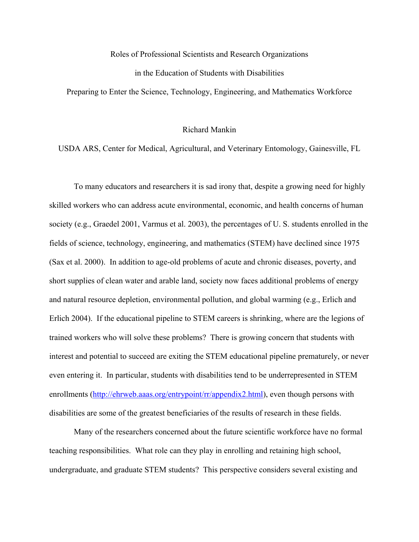#### Roles of Professional Scientists and Research Organizations

## in the Education of Students with Disabilities

Preparing to Enter the Science, Technology, Engineering, and Mathematics Workforce

#### Richard Mankin

### USDA ARS, Center for Medical, Agricultural, and Veterinary Entomology, Gainesville, FL

 To many educators and researchers it is sad irony that, despite a growing need for highly skilled workers who can address acute environmental, economic, and health concerns of human society (e.g., Graedel 2001, Varmus et al. 2003), the percentages of U. S. students enrolled in the fields of science, technology, engineering, and mathematics (STEM) have declined since 1975 (Sax et al. 2000). In addition to age-old problems of acute and chronic diseases, poverty, and short supplies of clean water and arable land, society now faces additional problems of energy and natural resource depletion, environmental pollution, and global warming (e.g., Erlich and Erlich 2004). If the educational pipeline to STEM careers is shrinking, where are the legions of trained workers who will solve these problems? There is growing concern that students with interest and potential to succeed are exiting the STEM educational pipeline prematurely, or never even entering it. In particular, students with disabilities tend to be underrepresented in STEM enrollments (http://ehrweb.aaas.org/entrypoint/rr/appendix2.html), even though persons with disabilities are some of the greatest beneficiaries of the results of research in these fields.

Many of the researchers concerned about the future scientific workforce have no formal teaching responsibilities. What role can they play in enrolling and retaining high school, undergraduate, and graduate STEM students? This perspective considers several existing and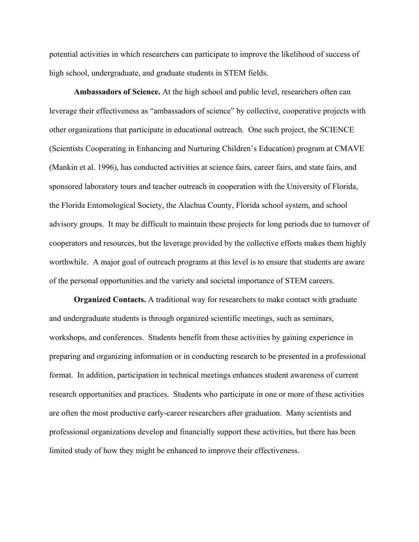potential activities in which researchers can participate to improve the likelihood of success of high school, undergraduate, and graduate students in STEM fields.

**Ambassadors of Science.** At the high school and public level, researchers often can leverage their effectiveness as "ambassadors of science" by collective, cooperative projects with other organizations that participate in educational outreach. One such project, the SCIENCE (Scientists Cooperating in Enhancing and Nurturing Children's Education) program at CMAVE (Mankin et al. 1996), has conducted activities at science fairs, career fairs, and state fairs, and sponsored laboratory tours and teacher outreach in cooperation with the University of Florida, the Florida Entomological Society, the Alachua County, Florida school system, and school advisory groups. It may be difficult to maintain these projects for long periods due to turnover of cooperators and resources, but the leverage provided by the collective efforts makes them highly worthwhile. A major goal of outreach programs at this level is to ensure that students are aware of the personal opportunities and the variety and societal importance of STEM careers.

**Organized Contacts.** A traditional way for researchers to make contact with graduate and undergraduate students is through organized scientific meetings, such as seminars, workshops, and conferences. Students benefit from these activities by gaining experience in preparing and organizing information or in conducting research to be presented in a professional format. In addition, participation in technical meetings enhances student awareness of current research opportunities and practices. Students who participate in one or more of these activities are often the most productive early-career researchers after graduation. Many scientists and professional organizations develop and financially support these activities, but there has been limited study of how they might be enhanced to improve their effectiveness.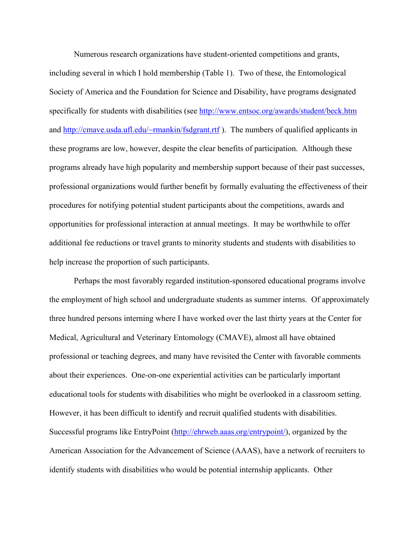Numerous research organizations have student-oriented competitions and grants, including several in which I hold membership (Table 1). Two of these, the Entomological Society of America and the Foundation for Science and Disability, have programs designated specifically for students with disabilities (see http://www.entsoc.org/awards/student/beck.htm and http://cmave.usda.ufl.edu/~rmankin/fsdgrant.rtf ). The numbers of qualified applicants in these programs are low, however, despite the clear benefits of participation. Although these programs already have high popularity and membership support because of their past successes, professional organizations would further benefit by formally evaluating the effectiveness of their procedures for notifying potential student participants about the competitions, awards and opportunities for professional interaction at annual meetings. It may be worthwhile to offer additional fee reductions or travel grants to minority students and students with disabilities to help increase the proportion of such participants.

 Perhaps the most favorably regarded institution-sponsored educational programs involve the employment of high school and undergraduate students as summer interns. Of approximately three hundred persons interning where I have worked over the last thirty years at the Center for Medical, Agricultural and Veterinary Entomology (CMAVE), almost all have obtained professional or teaching degrees, and many have revisited the Center with favorable comments about their experiences. One-on-one experiential activities can be particularly important educational tools for students with disabilities who might be overlooked in a classroom setting. However, it has been difficult to identify and recruit qualified students with disabilities. Successful programs like EntryPoint (http://ehrweb.aaas.org/entrypoint/), organized by the American Association for the Advancement of Science (AAAS), have a network of recruiters to identify students with disabilities who would be potential internship applicants. Other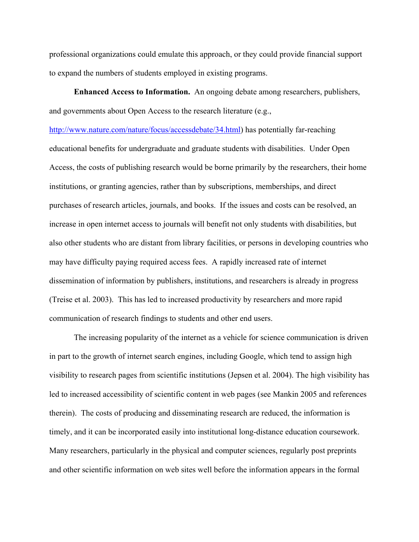professional organizations could emulate this approach, or they could provide financial support to expand the numbers of students employed in existing programs.

**Enhanced Access to Information.** An ongoing debate among researchers, publishers, and governments about Open Access to the research literature (e.g.,

http://www.nature.com/nature/focus/accessdebate/34.html) has potentially far-reaching educational benefits for undergraduate and graduate students with disabilities. Under Open Access, the costs of publishing research would be borne primarily by the researchers, their home institutions, or granting agencies, rather than by subscriptions, memberships, and direct purchases of research articles, journals, and books. If the issues and costs can be resolved, an increase in open internet access to journals will benefit not only students with disabilities, but also other students who are distant from library facilities, or persons in developing countries who may have difficulty paying required access fees. A rapidly increased rate of internet dissemination of information by publishers, institutions, and researchers is already in progress (Treise et al. 2003). This has led to increased productivity by researchers and more rapid communication of research findings to students and other end users.

The increasing popularity of the internet as a vehicle for science communication is driven in part to the growth of internet search engines, including Google, which tend to assign high visibility to research pages from scientific institutions (Jepsen et al. 2004). The high visibility has led to increased accessibility of scientific content in web pages (see Mankin 2005 and references therein). The costs of producing and disseminating research are reduced, the information is timely, and it can be incorporated easily into institutional long-distance education coursework. Many researchers, particularly in the physical and computer sciences, regularly post preprints and other scientific information on web sites well before the information appears in the formal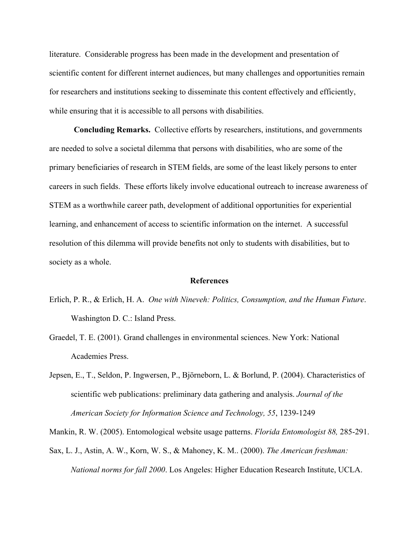literature. Considerable progress has been made in the development and presentation of scientific content for different internet audiences, but many challenges and opportunities remain for researchers and institutions seeking to disseminate this content effectively and efficiently, while ensuring that it is accessible to all persons with disabilities.

**Concluding Remarks.** Collective efforts by researchers, institutions, and governments are needed to solve a societal dilemma that persons with disabilities, who are some of the primary beneficiaries of research in STEM fields, are some of the least likely persons to enter careers in such fields. These efforts likely involve educational outreach to increase awareness of STEM as a worthwhile career path, development of additional opportunities for experiential learning, and enhancement of access to scientific information on the internet. A successful resolution of this dilemma will provide benefits not only to students with disabilities, but to society as a whole.

#### **References**

- Erlich, P. R., & Erlich, H. A. *One with Nineveh: Politics, Consumption, and the Human Future*. Washington D. C.: Island Press.
- Graedel, T. E. (2001). Grand challenges in environmental sciences. New York: National Academies Press.
- Jepsen, E., T., Seldon, P. Ingwersen, P., Björneborn, L. & Borlund, P. (2004). Characteristics of scientific web publications: preliminary data gathering and analysis. *Journal of the American Society for Information Science and Technology, 55*, 1239-1249

Mankin, R. W. (2005). Entomological website usage patterns. *Florida Entomologist 88,* 285-291.

Sax, L. J., Astin, A. W., Korn, W. S., & Mahoney, K. M.. (2000). *The American freshman: National norms for fall 2000*. Los Angeles: Higher Education Research Institute, UCLA.